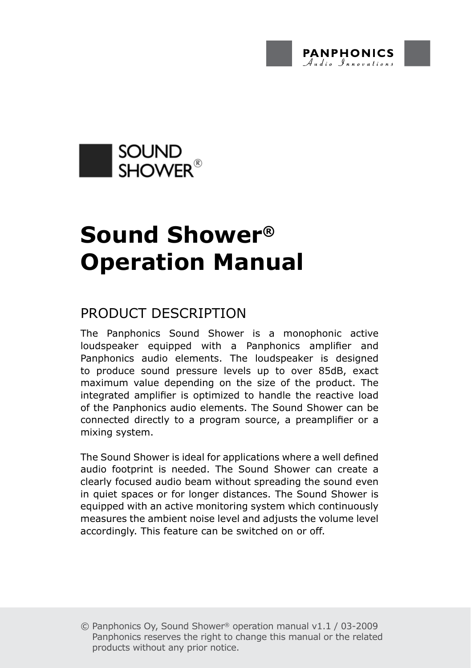



# **Sound Shower® Operation Manual**

# Product Description

The Panphonics Sound Shower is a monophonic active loudspeaker equipped with a Panphonics amplifier and Panphonics audio elements. The loudspeaker is designed to produce sound pressure levels up to over 85dB, exact maximum value depending on the size of the product. The integrated amplifier is optimized to handle the reactive load of the Panphonics audio elements. The Sound Shower can be connected directly to a program source, a preamplifier or a mixing system.

The Sound Shower is ideal for applications where a well defined audio footprint is needed. The Sound Shower can create a clearly focused audio beam without spreading the sound even in quiet spaces or for longer distances. The Sound Shower is equipped with an active monitoring system which continuously measures the ambient noise level and adjusts the volume level accordingly. This feature can be switched on or off.

<sup>©</sup> Panphonics Oy, Sound Shower® operation manual v1.1 / 03-2009 Panphonics reserves the right to change this manual or the related products without any prior notice.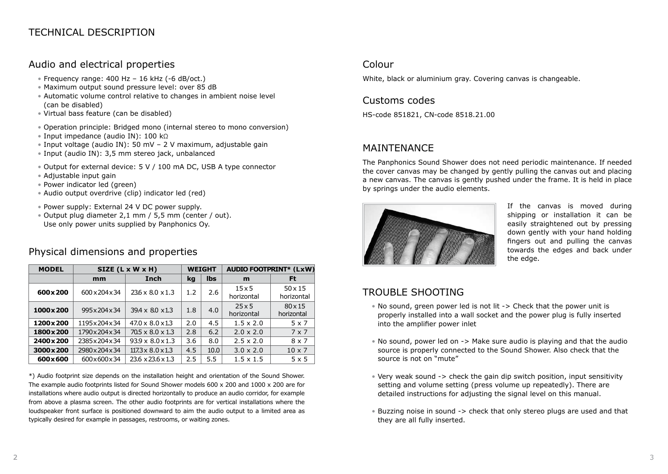#### Audio and electrical properties

- Frequency range: 400 Hz 16 kHz (-6 dB/oct.)
- Maximum output sound pressure level: over 85 dB
- Automatic volume control relative to changes in ambient noise level (can be disabled)
- Virtual bass feature (can be disabled)
- Operation principle: Bridged mono (internal stereo to mono conversion)
- Input impedance (audio IN): 100 kΩ
- Input voltage (audio IN): 50 mV 2 V maximum, adjustable gain
- Input (audio IN): 3,5 mm stereo jack, unbalanced
- Output for external device: 5 V / 100 mA DC, USB A type connector
- Adjustable input gain
- Power indicator led (green)
- Audio output overdrive (clip) indicator led (red)
- Power supply: External 24 V DC power supply.
- Output plug diameter 2,1 mm / 5,5 mm (center / out). Use only power units supplied by Panphonics Oy.

#### Physical dimensions and properties

| <b>MODEL</b> | $SIZE (L \times W \times H)$ |                               | <b>WEIGHT</b> |      | <b>AUDIO FOOTPRINT* (LxW)</b> |                              |
|--------------|------------------------------|-------------------------------|---------------|------|-------------------------------|------------------------------|
|              | mm                           | Inch                          | kq            | lbs  | m                             | Ft                           |
| 600x200      | 600 x 204 x 34               | $236 \times 8.0 \times 1.3$   | 1.2           | 2.6  | $15\times 5$<br>horizontal    | $50 \times 15$<br>horizontal |
| 1000 x 200   | 995x204x34                   | $39.4 \times 80 \times 1.3$   | 1.8           | 4.0  | $25 \times 5$<br>horizontal   | $80 \times 15$<br>horizontal |
| 1200x200     | 1195x204x34                  | $47.0 \times 8.0 \times 13$   | 2.0           | 4.5  | $1.5 \times 2.0$              | $5 \times 7$                 |
| 1800x200     | 1790 x 204 x 34              | $70.5 \times 8.0 \times 1.3$  | 2.8           | 6.2  | $2.0 \times 2.0$              | $7 \times 7$                 |
| 2400x200     | 2385x204x34                  | $93.9 \times 8.0 \times 1.3$  | 3.6           | 8.0  | $2.5 \times 2.0$              | $8 \times 7$                 |
| 3000x200     | 2980x204x34                  | $117.3 \times 8.0 \times 1.3$ | 4.5           | 10.0 | $3.0 \times 2.0$              | $10 \times 7$                |
| 600×600      | 600x600x34                   | 23.6 x 23.6 x 1.3             | 2.5           | 5.5  | $1.5 \times 1.5$              | $5 \times 5$                 |

\*) Audio footprint size depends on the installation height and orientation of the Sound Shower. The example audio footprints listed for Sound Shower models 600 x 200 and 1000 x 200 are for installations where audio output is directed horizontally to produce an audio corridor, for example from above a plasma screen. The other audio footprints are for vertical installations where the loudspeaker front surface is positioned downward to aim the audio output to a limited area as typically desired for example in passages, restrooms, or waiting zones.

#### Colour

White, black or aluminium gray. Covering canvas is changeable.

#### Customs codes

HS-code 851821, CN-code 8518.21.00

#### **MAINTENANCE**

The Panphonics Sound Shower does not need periodic maintenance. If needed the cover canvas may be changed by gently pulling the canvas out and placing a new canvas. The canvas is gently pushed under the frame. It is held in place by springs under the audio elements.



If the canvas is moved during shipping or installation it can be easily straightened out by pressing down gently with your hand holding fingers out and pulling the canvas towards the edges and back under the edge.

# TROUBLE SHOOTING

- No sound, green power led is not lit -> Check that the power unit is properly installed into a wall socket and the power plug is fully inserted into the amplifier power inlet
- No sound, power led on -> Make sure audio is playing and that the audio source is properly connected to the Sound Shower. Also check that the source is not on "mute"
- Very weak sound -> check the gain dip switch position, input sensitivity setting and volume setting (press volume up repeatedly). There are detailed instructions for adjusting the signal level on this manual.
- Buzzing noise in sound -> check that only stereo plugs are used and that they are all fully inserted.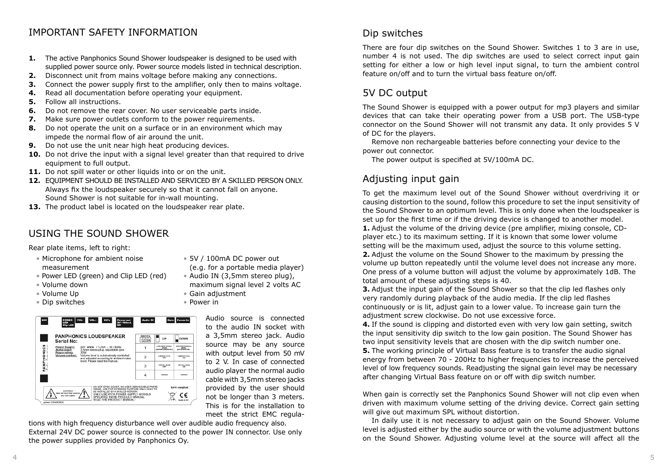# IMPORTANT SAFETY INFORMATION

- **1.** The active Panphonics Sound Shower loudspeaker is designed to be used with supplied power source only. Power source models listed in technical description.
- **2.** Disconnect unit from mains voltage before making any connections.
- **3.** Connect the power supply first to the amplifier, only then to mains voltage.
- **4.** Read all documentation before operating your equipment.
- **5.** Follow all instructions.
- **6.** Do not remove the rear cover. No user serviceable parts inside.
- **7.** Make sure power outlets conform to the power requirements.
- **8.** Do not operate the unit on a surface or in an environment which may impede the normal flow of air around the unit.
- **9.** Do not use the unit near high heat producing devices.
- **10.** Do not drive the input with a signal level greater than that required to drive equipment to full output.
- 11. Do not spill water or other liquids into or on the unit.
- **12.** EQUIPMENT SHOULD BE INSTALLED AND SERVICED BY A SKILLED PERSON ONLY. Always fix the loudspeaker securely so that it cannot fall on anyone. Sound Shower is not suitable for in-wall mounting.
- **13.** The product label is located on the loudspeaker rear plate.

# Using the Sound Shower

Rear plate items, left to right:

- Microphone for ambient noise measurement
- 
- Power LED (green) and Clip LED (red)
- Volume down
- Volume Up
- Dip switches

Serial No:

 $MBC$ 

• Power in POWER VOL- VOL+ DIPs Bower out<br>LED LED CLINIC SV / 100mA Gain Power In Audio IN **PANPHONICS LOUDSPEAKER** <u>зиитсн</u><br>|1|2|3|4| ■ uP  $\Box$ DOWN  $\mathbf{1}$ LOW INPUT SIGNAL<br>LEVEL<br>Combined a signature of HOH HINT SONA<br>LEVEL<br>Top distinguish



• 5V / 100mA DC power out (e.g. for a portable media player)

- Audio IN (3,5mm stereo plug), maximum signal level 2 volts AC
- Gain adjustment

Audio source is connected to the audio IN socket with a 3,5mm stereo jack. Audio source may be any source with output level from 50 mV to 2 V. In case of connected audio player the normal audio cable with 3,5mm stereo jacks provided by the user should not be longer than 3 meters. This is for the installation to meet the strict EMC regula-

tions with high frequency disturbance well over audible audio frequency also. External 24V DC power source is connected to the power IN connector. Use only the power supplies provided by Panphonics Oy.

#### Dip switches

There are four dip switches on the Sound Shower. Switches 1 to 3 are in use, number 4 is not used. The dip switches are used to select correct input gain setting for either a low or high level input signal, to turn the ambient control feature on/off and to turn the virtual bass feature on/off.

# 5V DC output

The Sound Shower is equipped with a power output for mp3 players and similar devices that can take their operating power from a USB port. The USB-type connector on the Sound Shower will not transmit any data. It only provides 5 V of DC for the players.

 Remove non rechargeable batteries before connecting your device to the power out connector.

The power output is specified at 5V/100mA DC.

# Adjusting input gain

To get the maximum level out of the Sound Shower without overdriving it or causing distortion to the sound, follow this procedure to set the input sensitivity of the Sound Shower to an optimum level. This is only done when the loudspeaker is set up for the first time or if the driving device is changed to another model. **1.** Adjust the volume of the driving device (pre amplifier, mixing console, CDplayer etc.) to its maximum setting. If it is known that some lower volume setting will be the maximum used, adjust the source to this volume setting. **2.** Adjust the volume on the Sound Shower to the maximum by pressing the volume up button repeatedly until the volume level does not increase any more. One press of a volume button will adjust the volume by approximately 1dB. The total amount of these adjusting steps is 40.

**3.** Adjust the input gain of the Sound Shower so that the clip led flashes only very randomly during playback of the audio media. If the clip led flashes continuously or is lit, adjust gain to a lower value. To increase gain turn the adjustment screw clockwise. Do not use excessive force.

**4.** If the sound is clipping and distorted even with very low gain setting, switch the input sensitivity dip switch to the low gain position. The Sound Shower has two input sensitivity levels that are chosen with the dip switch number one. **5.** The working principle of Virtual Bass feature is to transfer the audio signal energy from between 70 - 200Hz to higher frequencies to increase the perceived level of low frequency sounds. Readjusting the signal gain level may be necessary after changing Virtual Bass feature on or off with dip switch number.

When gain is correctly set the Panphonics Sound Shower will not clip even when driven with maximum volume setting of the driving device. Correct gain setting will give out maximum SPL without distortion.

 In daily use it is not necessary to adjust gain on the Sound Shower. Volume level is adjusted either by the audio source or with the volume adjustment buttons on the Sound Shower. Adjusting volume level at the source will affect all the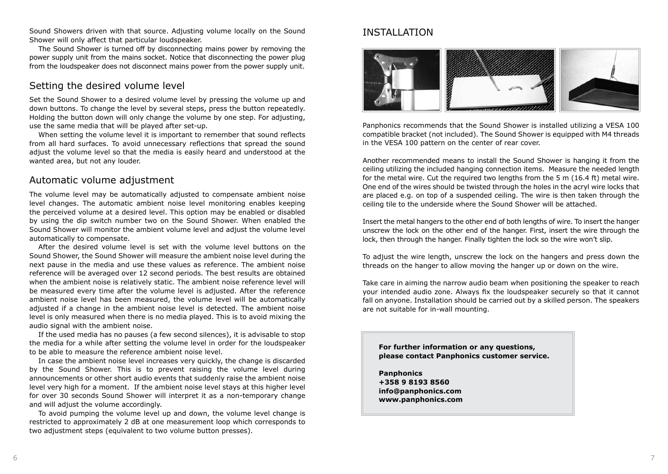Sound Showers driven with that source. Adjusting volume locally on the Sound Shower will only affect that particular loudspeaker.

 The Sound Shower is turned off by disconnecting mains power by removing the power supply unit from the mains socket. Notice that disconnecting the power plug from the loudspeaker does not disconnect mains power from the power supply unit.

#### Setting the desired volume level

Set the Sound Shower to a desired volume level by pressing the volume up and down buttons. To change the level by several steps, press the button repeatedly. Holding the button down will only change the volume by one step. For adjusting, use the same media that will be played after set-up.

When setting the volume level it is important to remember that sound reflects from all hard surfaces. To avoid unnecessary reflections that spread the sound adjust the volume level so that the media is easily heard and understood at the wanted area, but not any louder.

#### Automatic volume adjustment

The volume level may be automatically adjusted to compensate ambient noise level changes. The automatic ambient noise level monitoring enables keeping the perceived volume at a desired level. This option may be enabled or disabled by using the dip switch number two on the Sound Shower. When enabled the Sound Shower will monitor the ambient volume level and adjust the volume level automatically to compensate.

 After the desired volume level is set with the volume level buttons on the Sound Shower, the Sound Shower will measure the ambient noise level during the next pause in the media and use these values as reference. The ambient noise reference will be averaged over 12 second periods. The best results are obtained when the ambient noise is relatively static. The ambient noise reference level will be measured every time after the volume level is adjusted. After the reference ambient noise level has been measured, the volume level will be automatically adjusted if a change in the ambient noise level is detected. The ambient noise level is only measured when there is no media played. This is to avoid mixing the audio signal with the ambient noise.

 If the used media has no pauses (a few second silences), it is advisable to stop the media for a while after setting the volume level in order for the loudspeaker to be able to measure the reference ambient noise level.

 In case the ambient noise level increases very quickly, the change is discarded by the Sound Shower. This is to prevent raising the volume level during announcements or other short audio events that suddenly raise the ambient noise level very high for a moment. If the ambient noise level stays at this higher level for over 30 seconds Sound Shower will interpret it as a non-temporary change and will adjust the volume accordingly.

 To avoid pumping the volume level up and down, the volume level change is restricted to approximately 2 dB at one measurement loop which corresponds to two adjustment steps (equivalent to two volume button presses).

# Installation



Panphonics recommends that the Sound Shower is installed utilizing a VESA 100 compatible bracket (not included). The Sound Shower is equipped with M4 threads in the VESA 100 pattern on the center of rear cover.

Another recommended means to install the Sound Shower is hanging it from the ceiling utilizing the included hanging connection items. Measure the needed length for the metal wire. Cut the required two lengths from the 5 m (16.4 ft) metal wire. One end of the wires should be twisted through the holes in the acryl wire locks that are placed e.g. on top of a suspended ceiling. The wire is then taken through the ceiling tile to the underside where the Sound Shower will be attached.

Insert the metal hangers to the other end of both lengths of wire. To insert the hanger unscrew the lock on the other end of the hanger. First, insert the wire through the lock, then through the hanger. Finally tighten the lock so the wire won't slip.

To adjust the wire length, unscrew the lock on the hangers and press down the threads on the hanger to allow moving the hanger up or down on the wire.

Take care in aiming the narrow audio beam when positioning the speaker to reach your intended audio zone. Always fix the loudspeaker securely so that it cannot fall on anyone. Installation should be carried out by a skilled person. The speakers are not suitable for in-wall mounting.

**For further information or any questions, please contact Panphonics customer service.**

**Panphonics +358 9 8193 8560 info@panphonics.com www.panphonics.com**